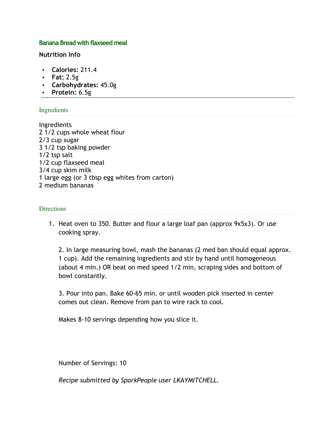#### **Banana Bread with flaxseed meal**

**Nutrition Info**

- **Calories:** 211.4
- **Fat:** 2.5g
- **Carbohydrates:** 45.0g
- **Protein:** 6.5g

#### Ingredients

Ingredients 2 1/2 cups whole wheat flour 2/3 cup sugar 3 1/2 tsp baking powder 1/2 tsp salt 1/2 cup flaxseed meal 3/4 cup skim milk 1 large egg (or 3 tbsp egg whites from carton) 2 medium bananas

#### **Directions**

1. Heat oven to 350. Butter and flour a large loaf pan (approx 9x5x3). Or use cooking spray.

2. In large measuring bowl, mash the bananas (2 med ban should equal approx. 1 cup). Add the remaining ingredients and stir by hand until homogeneous (about 4 min.) OR beat on med speed 1/2 min, scraping sides and bottom of bowl constantly.

3. Pour into pan. Bake 60-65 min. or until wooden pick inserted in center comes out clean. Remove from pan to wire rack to cool.

Makes 8-10 servings depending how you slice it.

Number of Servings: 10

*Recipe submitted by SparkPeople user LKAYMITCHELL.*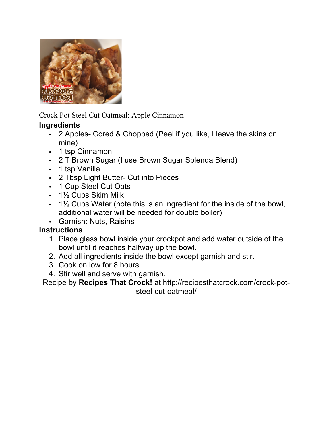

Crock Pot Steel Cut Oatmeal: Apple Cinnamon

## **Ingredients**

- 2 Apples- Cored & Chopped (Peel if you like, I leave the skins on mine)
- 1 tsp Cinnamon
- 2 T Brown Sugar (I use Brown Sugar Splenda Blend)
- 1 tsp Vanilla
- 2 Tbsp Light Butter- Cut into Pieces
- 1 Cup Steel Cut Oats
- 1½ Cups Skim Milk
- 1½ Cups Water (note this is an ingredient for the inside of the bowl, additional water will be needed for double boiler)
- Garnish: Nuts, Raisins

## **Instructions**

- 1. Place glass bowl inside your crockpot and add water outside of the bowl until it reaches halfway up the bowl.
- 2. Add all ingredients inside the bowl except garnish and stir.
- 3. Cook on low for 8 hours.
- 4. Stir well and serve with garnish.

Recipe by **Recipes That Crock!** at http://recipesthatcrock.com/crock-potsteel-cut-oatmeal/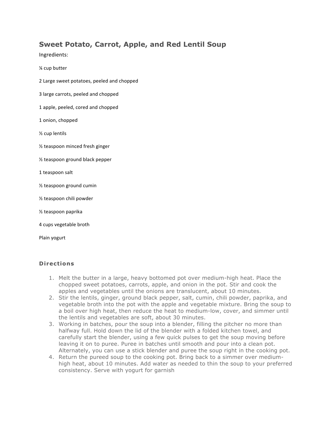### **Sweet Potato, Carrot, Apple, and Red Lentil Soup**

Ingredients:

¼ cup butter

- 2 Large sweet potatoes, peeled and chopped
- 3 large carrots, peeled and chopped
- 1 apple, peeled, cored and chopped
- 1 onion, chopped
- $\frac{1}{2}$  cup lentils
- % teaspoon minced fresh ginger
- $%$  teaspoon ground black pepper
- 1 teaspoon salt
- $%$  teaspoon ground cumin
- $\frac{1}{2}$  teaspoon chili powder
- ½ teaspoon paprika
- 4 cups vegetable broth

Plain yogurt

#### **Directions**

- 1. Melt the butter in a large, heavy bottomed pot over medium-high heat. Place the chopped sweet potatoes, carrots, apple, and onion in the pot. Stir and cook the apples and vegetables until the onions are translucent, about 10 minutes.
- 2. Stir the lentils, ginger, ground black pepper, salt, cumin, chili powder, paprika, and vegetable broth into the pot with the apple and vegetable mixture. Bring the soup to a boil over high heat, then reduce the heat to medium-low, cover, and simmer until the lentils and vegetables are soft, about 30 minutes.
- 3. Working in batches, pour the soup into a blender, filling the pitcher no more than halfway full. Hold down the lid of the blender with a folded kitchen towel, and carefully start the blender, using a few quick pulses to get the soup moving before leaving it on to puree. Puree in batches until smooth and pour into a clean pot. Alternately, you can use a stick blender and puree the soup right in the cooking pot.
- 4. Return the pureed soup to the cooking pot. Bring back to a simmer over mediumhigh heat, about 10 minutes. Add water as needed to thin the soup to your preferred consistency. Serve with yogurt for garnish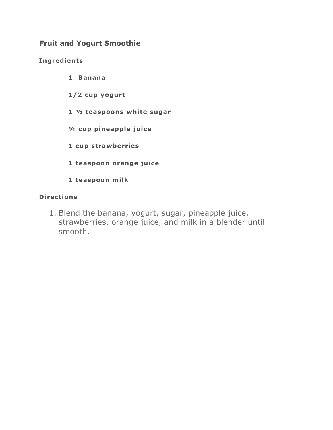### **Fruit and Yogurt Smoothie**

### **Ingredients**

- **1 Banana**
- **1/2 cup yogurt**
- **1 ½ teaspoons white sugar**
- **¼ cup pineapple juice**
- **1 cup strawberries**
- **1 teaspoon orange juice**
- **1 teaspoon milk**

#### **Directions**

1. Blend the banana, yogurt, sugar, pineapple juice, strawberries, orange juice, and milk in a blender until smooth.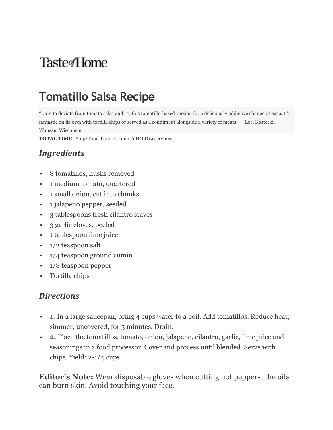# **Taste**<sub>fHome</sub>

# **Tomatillo Salsa Recipe**

"Dare to deviate from tomato salsa and try this tomatillo-based version for a deliciously addictive change of pace. It's fantastic on its own with tortilla chips or served as a condiment alongside a variety of meats." —Lori Kostecki, Wausau, Wisconsin

**TOTAL TIME:** Prep/Total Time: 20 min. **YIELD:**9 servings

## *Ingredients*

- 8 tomatillos, husks removed
- 1 medium tomato, quartered
- 1 small onion, cut into chunks
- 1 jalapeno pepper, seeded
- 3 tablespoons fresh cilantro leaves
- 3 garlic cloves, peeled
- 1 tablespoon lime juice
- 1/2 teaspoon salt
- 1/4 teaspoon ground cumin
- 1/8 teaspoon pepper
- Tortilla chips

## *Directions*

- **1.** In a large saucepan, bring 4 cups water to a boil. Add tomatillos. Reduce heat; simmer, uncovered, for 5 minutes. Drain.
- **2.** Place the tomatillos, tomato, onion, jalapeno, cilantro, garlic, lime juice and seasonings in a food processor. Cover and process until blended. Serve with chips. Yield: 2-1/4 cups.

**Editor's Note:** Wear disposable gloves when cutting hot peppers; the oils can burn skin. Avoid touching your face.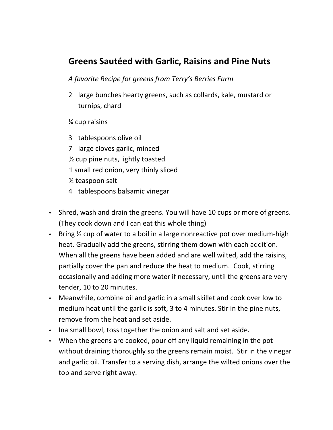## **Greens Sautéed with Garlic, Raisins and Pine Nuts**

### *A favorite Recipe for greens from Terry's Berries Farm*

2 large bunches hearty greens, such as collards, kale, mustard or turnips, chard

 $%$  cup raisins

- 3 tablespoons olive oil
- 7 large cloves garlic, minced
- $\frac{1}{2}$  cup pine nuts, lightly toasted
- 1 small red onion, very thinly sliced
- % teaspoon salt
- 4 tablespoons balsamic vinegar
- Shred, wash and drain the greens. You will have 10 cups or more of greens. (They cook down and I can eat this whole thing)
- Bring  $\frac{1}{2}$  cup of water to a boil in a large nonreactive pot over medium-high heat. Gradually add the greens, stirring them down with each addition. When all the greens have been added and are well wilted, add the raisins, partially cover the pan and reduce the heat to medium. Cook, stirring occasionally and adding more water if necessary, until the greens are very tender, 10 to 20 minutes.
- Meanwhile, combine oil and garlic in a small skillet and cook over low to medium heat until the garlic is soft, 3 to 4 minutes. Stir in the pine nuts, remove from the heat and set aside.
- Ina small bowl, toss together the onion and salt and set aside.
- When the greens are cooked, pour off any liquid remaining in the pot without draining thoroughly so the greens remain moist. Stir in the vinegar and garlic oil. Transfer to a serving dish, arrange the wilted onions over the top and serve right away.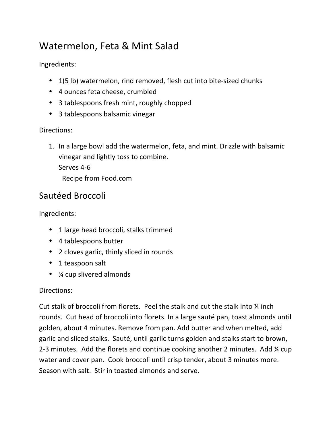## Watermelon, Feta & Mint Salad

Ingredients:

- 1(5 lb) watermelon, rind removed, flesh cut into bite-sized chunks
- 4 ounces feta cheese, crumbled
- 3 tablespoons fresh mint, roughly chopped
- 3 tablespoons balsamic vinegar

## Directions:

1. In a large bowl add the watermelon, feta, and mint. Drizzle with balsamic vinegar and lightly toss to combine. Serves 4-6 Recipe from Food.com

## Sautéed Broccoli

Ingredients:

- 1 large head broccoli, stalks trimmed
- 4 tablespoons butter
- 2 cloves garlic, thinly sliced in rounds
- 1 teaspoon salt
- $\frac{1}{4}$  cup slivered almonds

## Directions:

Cut stalk of broccoli from florets. Peel the stalk and cut the stalk into  $\frac{1}{4}$  inch rounds. Cut head of broccoli into florets. In a large sauté pan, toast almonds until golden, about 4 minutes. Remove from pan. Add butter and when melted, add garlic and sliced stalks. Sauté, until garlic turns golden and stalks start to brown, 2-3 minutes. Add the florets and continue cooking another 2 minutes. Add  $\frac{1}{4}$  cup water and cover pan. Cook broccoli until crisp tender, about 3 minutes more. Season with salt. Stir in toasted almonds and serve.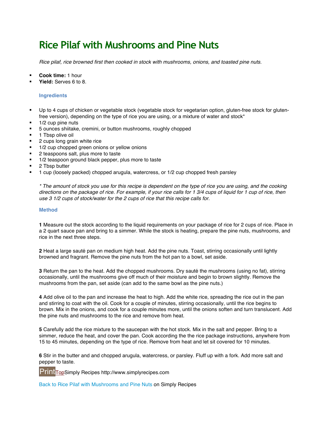## **Rice Pilaf with Mushrooms and Pine Nuts**

*Rice pilaf, rice browned first then cooked in stock with mushrooms, onions, and toasted pine nuts.*

- ! **Cook time:** 1 hour
- ! **Yield:** Serves 6 to 8.

#### **Ingredients**

- ! Up to 4 cups of chicken or vegetable stock (vegetable stock for vegetarian option, gluten-free stock for glutenfree version), depending on the type of rice you are using, or a mixture of water and stock\*
- 1/2 cup pine nuts
- ! 5 ounces shiitake, cremini, or button mushrooms, roughly chopped
- 1 Tbsp olive oil
- 2 cups long grain white rice
- 1/2 cup chopped green onions or yellow onions
- 2 teaspoons salt, plus more to taste
- 1/2 teaspoon ground black pepper, plus more to taste
- 2 Tbsp butter
- ! 1 cup (loosely packed) chopped arugula, watercress, or 1/2 cup chopped fresh parsley

*\* The amount of stock you use for this recipe is dependent on the type of rice you are using, and the cooking directions on the package of rice. For example, if your rice calls for 1 3/4 cups of liquid for 1 cup of rice, then use 3 1/2 cups of stock/water for the 2 cups of rice that this recipe calls for.*

#### **Method**

**1** Measure out the stock according to the liquid requirements on your package of rice for 2 cups of rice. Place in a 2 quart sauce pan and bring to a simmer. While the stock is heating, prepare the pine nuts, mushrooms, and rice in the next three steps.

**2** Heat a large sauté pan on medium high heat. Add the pine nuts. Toast, stirring occasionally until lightly browned and fragrant. Remove the pine nuts from the hot pan to a bowl, set aside.

**3** Return the pan to the heat. Add the chopped mushrooms. Dry sauté the mushrooms (using no fat), stirring occasionally, until the mushrooms give off much of their moisture and begin to brown slightly. Remove the mushrooms from the pan, set aside (can add to the same bowl as the pine nuts.)

**4** Add olive oil to the pan and increase the heat to high. Add the white rice, spreading the rice out in the pan and stirring to coat with the oil. Cook for a couple of minutes, stirring occasionally, until the rice begins to brown. Mix in the onions, and cook for a couple minutes more, until the onions soften and turn translucent. Add the pine nuts and mushrooms to the rice and remove from heat.

**5** Carefully add the rice mixture to the saucepan with the hot stock. Mix in the salt and pepper. Bring to a simmer, reduce the heat, and cover the pan. Cook according the the rice package instructions, anywhere from 15 to 45 minutes, depending on the type of rice. Remove from heat and let sit covered for 10 minutes.

**6** Stir in the butter and and chopped arugula, watercress, or parsley. Fluff up with a fork. Add more salt and pepper to taste.

PrintTopSimply Recipes http://www.simplyrecipes.com

Back to Rice Pilaf with Mushrooms and Pine Nuts on Simply Recipes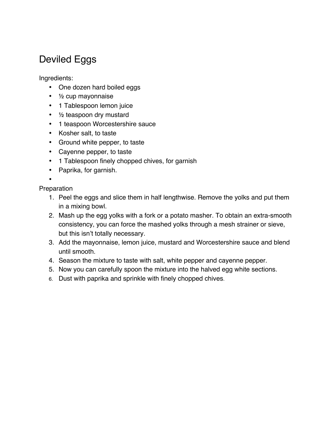## Deviled Eggs

Ingredients:

- One dozen hard boiled eggs
- ½ cup mayonnaise
- 1 Tablespoon lemon juice
- 1/2 teaspoon dry mustard
- 1 teaspoon Worcestershire sauce
- Kosher salt, to taste
- Ground white pepper, to taste
- Cayenne pepper, to taste
- 1 Tablespoon finely chopped chives, for garnish
- Paprika, for garnish.

• **Preparation** 

- 1. Peel the eggs and slice them in half lengthwise. Remove the yolks and put them in a mixing bowl.
	- 2. Mash up the egg yolks with a fork or a potato masher. To obtain an extra-smooth consistency, you can force the mashed yolks through a mesh strainer or sieve, but this isn't totally necessary.
	- 3. Add the mayonnaise, lemon juice, mustard and Worcestershire sauce and blend until smooth.
	- 4. Season the mixture to taste with salt, white pepper and cayenne pepper.
	- 5. Now you can carefully spoon the mixture into the halved egg white sections.
	- 6. Dust with paprika and sprinkle with finely chopped chives.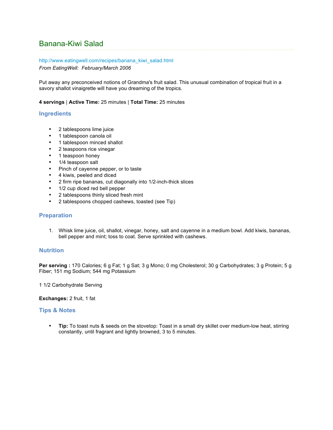### Banana-Kiwi Salad

#### http://www.eatingwell.com/recipes/banana\_kiwi\_salad.html

*From EatingWell: February/March 2006*

Put away any preconceived notions of Grandma's fruit salad. This unusual combination of tropical fruit in a savory shallot vinaigrette will have you dreaming of the tropics.

**4 servings** | **Active Time:** 25 minutes | **Total Time:** 25 minutes

#### **Ingredients**

- 2 tablespoons lime juice
- 1 tablespoon canola oil
- 1 tablespoon minced shallot
- 2 teaspoons rice vinegar
- 1 teaspoon honey
- 1/4 teaspoon salt
- Pinch of cayenne pepper, or to taste
- 4 kiwis, peeled and diced
- 2 firm ripe bananas, cut diagonally into 1/2-inch-thick slices
- 1/2 cup diced red bell pepper
- 2 tablespoons thinly sliced fresh mint<br>• 2 tablespoons chonned cashews to as
- 2 tablespoons chopped cashews, toasted (see Tip)

#### **Preparation**

1. Whisk lime juice, oil, shallot, vinegar, honey, salt and cayenne in a medium bowl. Add kiwis, bananas, bell pepper and mint; toss to coat. Serve sprinkled with cashews.

#### **Nutrition**

Per serving : 170 Calories; 6 g Fat; 1 g Sat; 3 g Mono; 0 mg Cholesterol; 30 g Carbohydrates; 3 g Protein; 5 g Fiber; 151 mg Sodium; 544 mg Potassium

1 1/2 Carbohydrate Serving

**Exchanges:** 2 fruit, 1 fat

#### **Tips & Notes**

• **Tip:** To toast nuts & seeds on the stovetop: Toast in a small dry skillet over medium-low heat, stirring constantly, until fragrant and lightly browned, 3 to 5 minutes.